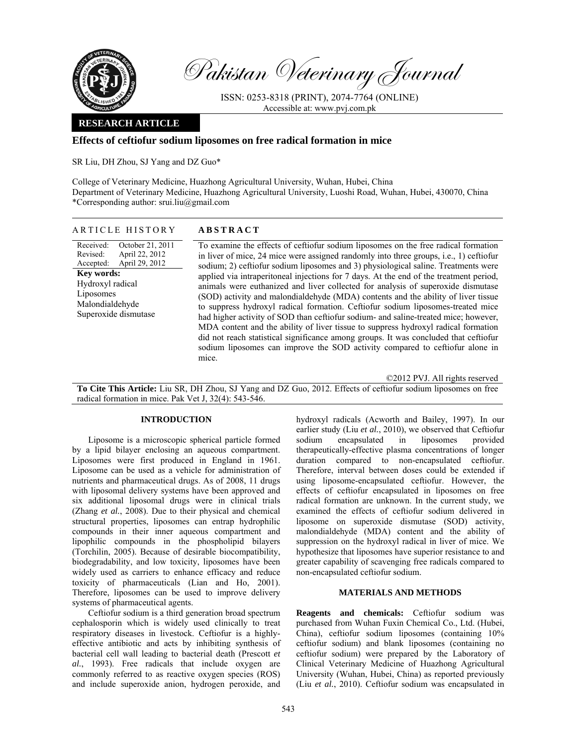

Pakistan Veterinary Journal

ISSN: 0253-8318 (PRINT), 2074-7764 (ONLINE) Accessible at: www.pvj.com.pk

## **RESEARCH ARTICLE**

## **Effects of ceftiofur sodium liposomes on free radical formation in mice**

SR Liu, DH Zhou, SJ Yang and DZ Guo\*

College of Veterinary Medicine, Huazhong Agricultural University, Wuhan, Hubei, China Department of Veterinary Medicine, Huazhong Agricultural University, Luoshi Road, Wuhan, Hubei, 430070, China \*Corresponding author: srui.liu@gmail.com

|--|

Received: Revised: Accepted: October 21, 2011 April 22, 2012 April 29, 2012 **Key words:**  Hydroxyl radical Liposomes Malondialdehyde Superoxide dismutase

To examine the effects of ceftiofur sodium liposomes on the free radical formation in liver of mice, 24 mice were assigned randomly into three groups, i.e., 1) ceftiofur sodium; 2) ceftiofur sodium liposomes and 3) physiological saline. Treatments were applied via intraperitoneal injections for 7 days. At the end of the treatment period, animals were euthanized and liver collected for analysis of superoxide dismutase (SOD) activity and malondialdehyde (MDA) contents and the ability of liver tissue to suppress hydroxyl radical formation. Ceftiofur sodium liposomes-treated mice had higher activity of SOD than ceftiofur sodium- and saline-treated mice; however, MDA content and the ability of liver tissue to suppress hydroxyl radical formation did not reach statistical significance among groups. It was concluded that ceftiofur sodium liposomes can improve the SOD activity compared to ceftiofur alone in mice.

©2012 PVJ. All rights reserved

**To Cite This Article:** Liu SR, DH Zhou, SJ Yang and DZ Guo, 2012. Effects of ceftiofur sodium liposomes on free radical formation in mice. Pak Vet J, 32(4): 543-546.

## **INTRODUCTION**

Liposome is a microscopic spherical particle formed by a lipid bilayer enclosing an aqueous compartment. Liposomes were first produced in England in 1961. Liposome can be used as a vehicle for administration of nutrients and pharmaceutical drugs. As of 2008, 11 drugs with liposomal delivery systems have been approved and six additional liposomal drugs were in clinical trials (Zhang *et al.*, 2008). Due to their physical and chemical structural properties, liposomes can entrap hydrophilic compounds in their inner aqueous compartment and lipophilic compounds in the phospholipid bilayers (Torchilin, 2005). Because of desirable biocompatibility, biodegradability, and low toxicity, liposomes have been widely used as carriers to enhance efficacy and reduce toxicity of pharmaceuticals (Lian and Ho, 2001). Therefore, liposomes can be used to improve delivery systems of pharmaceutical agents.

Ceftiofur sodium is a third generation broad spectrum cephalosporin which is widely used clinically to treat respiratory diseases in livestock. Ceftiofur is a highlyeffective antibiotic and acts by inhibiting synthesis of bacterial cell wall leading to bacterial death (Prescott *et al.*, 1993). Free radicals that include oxygen are commonly referred to as reactive oxygen species (ROS) and include superoxide anion, hydrogen peroxide, and

hydroxyl radicals (Acworth and Bailey, 1997). In our earlier study (Liu *et al.*, 2010), we observed that Ceftiofur sodium encapsulated in liposomes provided therapeutically-effective plasma concentrations of longer duration compared to non-encapsulated ceftiofur. Therefore, interval between doses could be extended if using liposome-encapsulated ceftiofur. However, the effects of ceftiofur encapsulated in liposomes on free radical formation are unknown. In the current study, we examined the effects of ceftiofur sodium delivered in liposome on superoxide dismutase (SOD) activity, malondialdehyde (MDA) content and the ability of suppression on the hydroxyl radical in liver of mice. We hypothesize that liposomes have superior resistance to and greater capability of scavenging free radicals compared to non-encapsulated ceftiofur sodium.

# **MATERIALS AND METHODS**

**Reagents and chemicals:** Ceftiofur sodium was purchased from Wuhan Fuxin Chemical Co., Ltd. (Hubei, China), ceftiofur sodium liposomes (containing 10% ceftiofur sodium) and blank liposomes (containing no ceftiofur sodium) were prepared by the Laboratory of Clinical Veterinary Medicine of Huazhong Agricultural University (Wuhan, Hubei, China) as reported previously (Liu *et al.*, 2010). Ceftiofur sodium was encapsulated in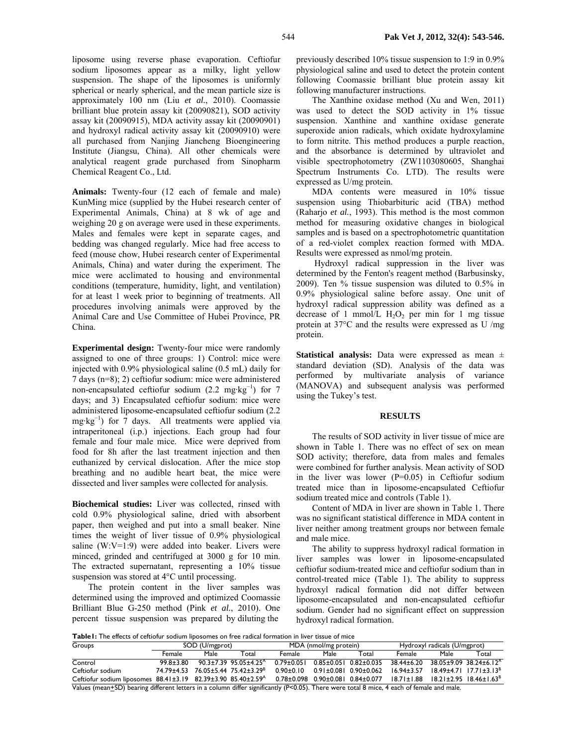liposome using reverse phase evaporation. Ceftiofur sodium liposomes appear as a milky, light yellow suspension. The shape of the liposomes is uniformly spherical or nearly spherical, and the mean particle size is approximately 100 nm (Liu *et al.*, 2010). Coomassie brilliant blue protein assay kit (20090821), SOD activity assay kit (20090915), MDA activity assay kit (20090901) and hydroxyl radical activity assay kit (20090910) were all purchased from Nanjing Jiancheng Bioengineering Institute (Jiangsu, China). All other chemicals were analytical reagent grade purchased from Sinopharm Chemical Reagent Co., Ltd.

**Animals:** Twenty-four (12 each of female and male) KunMing mice (supplied by the Hubei research center of Experimental Animals, China) at 8 wk of age and weighing 20 g on average were used in these experiments. Males and females were kept in separate cages, and bedding was changed regularly. Mice had free access to feed (mouse chow, Hubei research center of Experimental Animals, China) and water during the experiment. The mice were acclimated to housing and environmental conditions (temperature, humidity, light, and ventilation) for at least 1 week prior to beginning of treatments. All procedures involving animals were approved by the Animal Care and Use Committee of Hubei Province, PR China.

**Experimental design:** Twenty-four mice were randomly assigned to one of three groups: 1) Control: mice were injected with 0.9% physiological saline (0.5 mL) daily for 7 days (n=8); 2) ceftiofur sodium: mice were administered non-encapsulated ceftiofur sodium  $(2.2 \text{ mg} \cdot \text{kg}^{-1})$  for 7 days; and 3) Encapsulated ceftiofur sodium: mice were administered liposome-encapsulated ceftiofur sodium (2.2 mg·kg<sup>-1</sup>) for 7 days. All treatments were applied via intraperitoneal (i.p.) injections. Each group had four female and four male mice. Mice were deprived from food for 8h after the last treatment injection and then euthanized by cervical dislocation. After the mice stop breathing and no audible heart beat, the mice were dissected and liver samples were collected for analysis.

**Biochemical studies:** Liver was collected, rinsed with cold 0.9% physiological saline, dried with absorbent paper, then weighed and put into a small beaker. Nine times the weight of liver tissue of 0.9% physiological saline (W:V=1:9) were added into beaker. Livers were minced, grinded and centrifuged at 3000 g for 10 min. The extracted supernatant, representing a 10% tissue suspension was stored at 4°C until processing.

The protein content in the liver samples was determined using the improved and optimized Coomassie Brilliant Blue G-250 method (Pink *et al.*, 2010). One percent tissue suspension was prepared by diluting the

previously described 10% tissue suspension to 1:9 in 0.9% physiological saline and used to detect the protein content following Coomassie brilliant blue protein assay kit following manufacturer instructions.

The Xanthine oxidase method (Xu and Wen, 2011) was used to detect the SOD activity in 1% tissue suspension. Xanthine and xanthine oxidase generate superoxide anion radicals, which oxidate hydroxylamine to form nitrite. This method produces a purple reaction, and the absorbance is determined by ultraviolet and visible spectrophotometry (ZW1103080605, Shanghai Spectrum Instruments Co. LTD). The results were expressed as U/mg protein.

MDA contents were measured in 10% tissue suspension using Thiobarbituric acid (TBA) method (Raharjo *et al.*, 1993). This method is the most common method for measuring oxidative changes in biological samples and is based on a spectrophotometric quantitation of a red-violet complex reaction formed with MDA. Results were expressed as nmol/mg protein.

 Hydroxyl radical suppression in the liver was determined by the Fenton's reagent method (Barbusinsky, 2009). Ten % tissue suspension was diluted to 0.5% in 0.9% physiological saline before assay. One unit of hydroxyl radical suppression ability was defined as a decrease of 1 mmol/L  $H_2O_2$  per min for 1 mg tissue protein at 37°C and the results were expressed as U /mg protein.

**Statistical analysis:** Data were expressed as mean ± standard deviation (SD). Analysis of the data was performed by multivariate analysis of variance (MANOVA) and subsequent analysis was performed using the Tukey's test.

### **RESULTS**

The results of SOD activity in liver tissue of mice are shown in Table 1. There was no effect of sex on mean SOD activity; therefore, data from males and females were combined for further analysis. Mean activity of SOD in the liver was lower  $(P=0.05)$  in Ceftiofur sodium treated mice than in liposome-encapsulated Ceftiofur sodium treated mice and controls (Table 1).

Content of MDA in liver are shown in Table 1. There was no significant statistical difference in MDA content in liver neither among treatment groups nor between female and male mice.

The ability to suppress hydroxyl radical formation in liver samples was lower in liposome-encapsulated ceftiofur sodium-treated mice and ceftiofur sodium than in control-treated mice (Table 1). The ability to suppress hydroxyl radical formation did not differ between liposome-encapsulated and non-encapsulated ceftiofur sodium. Gender had no significant effect on suppression hydroxyl radical formation.

**Table1:** The effects of ceftiofur sodium liposomes on free radical formation in liver tissue of mice

| Groups                                                                                                                                    | SOD (U/mgprot) |      |                                               | MDA (nmol/mg protein) |      |                                   | Hydroxyl radicals (U/mgprot) |      |                                                |  |
|-------------------------------------------------------------------------------------------------------------------------------------------|----------------|------|-----------------------------------------------|-----------------------|------|-----------------------------------|------------------------------|------|------------------------------------------------|--|
|                                                                                                                                           | Female         | Male | Total                                         | Female                | Male | Total                             | Female                       | Male | Total                                          |  |
| Control                                                                                                                                   | 99.8+3.80      |      | $90.3 \pm 7.39$ 95.05 $\pm 4.25$ <sup>A</sup> | $0.79 \pm 0.051$      |      | $0.85 \pm 0.051$ $0.82 \pm 0.035$ | 38.44±6.20                   |      | $38.05 \pm 9.09$ $38.24 \pm 6.12$ <sup>A</sup> |  |
| Ceftiofur sodium                                                                                                                          |                |      | 74 79 + 4 53 76 05 + 5 44 75 4 2 + 3 2 9 8    | 0.90+0.10             |      | $0.91 \pm 0.081$ 0.90 $\pm 0.062$ | $16.94 \pm 3.57$             |      | $18.49 \pm 4.71$ $17.71 \pm 3.13$ <sup>B</sup> |  |
| Ceftiofur sodium liposomes $88.41 \pm 3.19$ $82.39 \pm 3.90$ $85.40 \pm 2.59$ <sup>A</sup>                                                |                |      |                                               |                       |      | 0.78±0.098 0.90±0.081 0.84±0.077  | $18.71 \pm 1.88$             |      | $18.21 \pm 2.95$ $18.46 \pm 1.63^8$            |  |
| Values (mean+SD) bearing different letters in a column differ significantly (P<0.05). There were total 8 mice, 4 each of female and male. |                |      |                                               |                       |      |                                   |                              |      |                                                |  |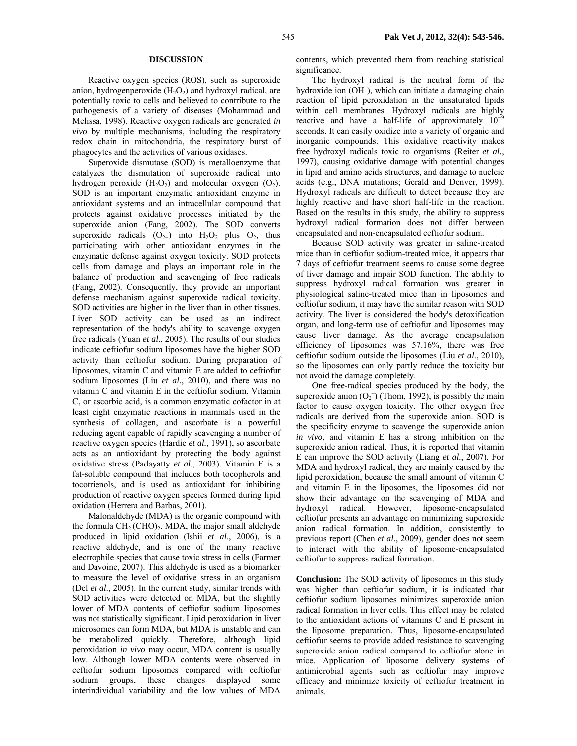#### **DISCUSSION**

Reactive oxygen species (ROS), such as superoxide anion, hydrogenperoxide  $(H_2O_2)$  and hydroxyl radical, are potentially toxic to cells and believed to contribute to the pathogenesis of a variety of diseases (Mohammad and Melissa, 1998). Reactive oxygen radicals are generated *in vivo* by multiple mechanisms, including the respiratory redox chain in mitochondria, the respiratory burst of phagocytes and the activities of various oxidases.

Superoxide dismutase (SOD) is metalloenzyme that catalyzes the dismutation of superoxide radical into hydrogen peroxide  $(H_2O_2)$  and molecular oxygen  $(O_2)$ . SOD is an important enzymatic antioxidant enzyme in antioxidant systems and an intracellular compound that protects against oxidative processes initiated by the superoxide anion (Fang, 2002). The SOD converts superoxide radicals  $(O_{2-})$  into  $H_2O_2$  plus  $O_2$ , thus participating with other antioxidant enzymes in the enzymatic defense against oxygen toxicity. SOD protects cells from damage and plays an important role in the balance of production and scavenging of free radicals (Fang, 2002). Consequently, they provide an important defense mechanism against superoxide radical toxicity. SOD activities are higher in the liver than in other tissues. Liver SOD activity can be used as an indirect representation of the body's ability to scavenge oxygen free radicals (Yuan *et al.*, 2005). The results of our studies indicate ceftiofur sodium liposomes have the higher SOD activity than ceftiofur sodium. During preparation of liposomes, vitamin C and vitamin E are added to ceftiofur sodium liposomes (Liu *et al.*, 2010), and there was no vitamin C and vitamin E in the ceftiofur sodium. Vitamin C, or ascorbic acid, is a common enzymatic cofactor in at least eight enzymatic reactions in mammals used in the synthesis of collagen, and ascorbate is a powerful reducing agent capable of rapidly scavenging a number of reactive oxygen species (Hardie *et al.*, 1991), so ascorbate acts as an antioxidant by protecting the body against oxidative stress (Padayatty *et al.*, 2003). Vitamin E is a fat-soluble compound that includes both tocopherols and tocotrienols, and is used as antioxidant for inhibiting production of reactive oxygen species formed during lipid oxidation (Herrera and Barbas, 2001).

Malonaldehyde (MDA) is the organic compound with the formula  $CH<sub>2</sub>(CHO)<sub>2</sub>$ . MDA, the major small aldehyde produced in lipid oxidation (Ishii *et al*., 2006), is a reactive aldehyde, and is one of the many reactive electrophile species that cause toxic stress in cells (Farmer and Davoine, 2007). This aldehyde is used as a biomarker to measure the level of oxidative stress in an organism (Del *et al*., 2005). In the current study, similar trends with SOD activities were detected on MDA, but the slightly lower of MDA contents of ceftiofur sodium liposomes was not statistically significant. Lipid peroxidation in liver microsomes can form MDA, but MDA is unstable and can be metabolized quickly. Therefore, although lipid peroxidation *in vivo* may occur, MDA content is usually low. Although lower MDA contents were observed in ceftiofur sodium liposomes compared with ceftiofur sodium groups, these changes displayed some interindividual variability and the low values of MDA

contents, which prevented them from reaching statistical significance.

The hydroxyl radical is the neutral form of the hydroxide ion (OH<sup>-</sup>), which can initiate a damaging chain reaction of lipid peroxidation in the unsaturated lipids within cell membranes. Hydroxyl radicals are highly reactive and have a half-life of approximately  $10^{-9}$ seconds. It can easily oxidize into a variety of organic and inorganic compounds. This oxidative reactivity makes free hydroxyl radicals toxic to organisms (Reiter *et al.*, 1997), causing oxidative damage with potential changes in lipid and amino acids structures, and damage to nucleic acids (e.g., DNA mutations; Gerald and Denver, 1999). Hydroxyl radicals are difficult to detect because they are highly reactive and have short half-life in the reaction. Based on the results in this study, the ability to suppress hydroxyl radical formation does not differ between encapsulated and non-encapsulated ceftiofur sodium.

Because SOD activity was greater in saline-treated mice than in ceftiofur sodium-treated mice, it appears that 7 days of ceftiofur treatment seems to cause some degree of liver damage and impair SOD function. The ability to suppress hydroxyl radical formation was greater in physiological saline-treated mice than in liposomes and ceftiofur sodium, it may have the similar reason with SOD activity. The liver is considered the body's detoxification organ, and long-term use of ceftiofur and liposomes may cause liver damage. As the average encapsulation efficiency of liposomes was 57.16%, there was free ceftiofur sodium outside the liposomes (Liu *et al.*, 2010), so the liposomes can only partly reduce the toxicity but not avoid the damage completely.

One free-radical species produced by the body, the superoxide anion  $(O_2^-)$  (Thom, 1992), is possibly the main factor to cause oxygen toxicity. The other oxygen free radicals are derived from the superoxide anion. SOD is the specificity enzyme to scavenge the superoxide anion *in vivo*, and vitamin E has a strong inhibition on the superoxide anion radical. Thus, it is reported that vitamin E can improve the SOD activity (Liang *et al.*, 2007). For MDA and hydroxyl radical, they are mainly caused by the lipid peroxidation, because the small amount of vitamin C and vitamin E in the liposomes, the liposomes did not show their advantage on the scavenging of MDA and hydroxyl radical. However, liposome-encapsulated ceftiofur presents an advantage on minimizing superoxide anion radical formation. In addition, consistently to previous report (Chen *et al.*, 2009), gender does not seem to interact with the ability of liposome-encapsulated ceftiofur to suppress radical formation.

**Conclusion:** The SOD activity of liposomes in this study was higher than ceftiofur sodium, it is indicated that ceftiofur sodium liposomes minimizes superoxide anion radical formation in liver cells. This effect may be related to the antioxidant actions of vitamins C and E present in the liposome preparation. Thus, liposome-encapsulated ceftiofur seems to provide added resistance to scavenging superoxide anion radical compared to ceftiofur alone in mice. Application of liposome delivery systems of antimicrobial agents such as ceftiofur may improve efficacy and minimize toxicity of ceftiofur treatment in animals.